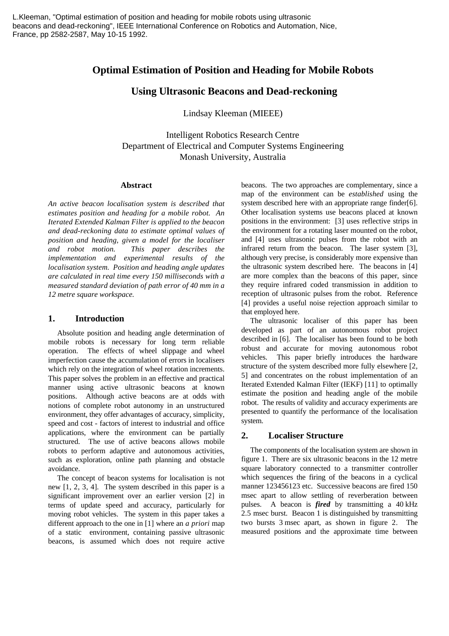# **Optimal Estimation of Position and Heading for Mobile Robots**

# **Using Ultrasonic Beacons and Dead-reckoning**

Lindsay Kleeman (MIEEE)

Intelligent Robotics Research Centre Department of Electrical and Computer Systems Engineering Monash University, Australia

#### **Abstract**

*An active beacon localisation system is described that estimates position and heading for a mobile robot. An Iterated Extended Kalman Filter is applied to the beacon and dead-reckoning data to estimate optimal values of position and heading, given a model for the localiser and robot motion. This paper describes the implementation and experimental results of the localisation system. Position and heading angle updates are calculated in real time every 150 milliseconds with a measured standard deviation of path error of 40 mm in a 12 metre square workspace.*

#### **1. Introduction**

Absolute position and heading angle determination of mobile robots is necessary for long term reliable operation. The effects of wheel slippage and wheel imperfection cause the accumulation of errors in localisers which rely on the integration of wheel rotation increments. This paper solves the problem in an effective and practical manner using active ultrasonic beacons at known positions. Although active beacons are at odds with notions of complete robot autonomy in an unstructured environment, they offer advantages of accuracy, simplicity, speed and cost - factors of interest to industrial and office applications, where the environment can be partially structured. The use of active beacons allows mobile robots to perform adaptive and autonomous activities, such as exploration, online path planning and obstacle avoidance.

The concept of beacon systems for localisation is not new [1, 2, 3, 4]. The system described in this paper is a significant improvement over an earlier version [2] in terms of update speed and accuracy, particularly for moving robot vehicles. The system in this paper takes a different approach to the one in [1] where an *a priori* map of a static environment, containing passive ultrasonic beacons, is assumed which does not require active

beacons. The two approaches are complementary, since a map of the environment can be *established* using the system described here with an appropriate range finder[6]. Other localisation systems use beacons placed at known positions in the environment: [3] uses reflective strips in the environment for a rotating laser mounted on the robot, and [4] uses ultrasonic pulses from the robot with an infrared return from the beacon. The laser system [3], although very precise, is considerably more expensive than the ultrasonic system described here. The beacons in [4] are more complex than the beacons of this paper, since they require infrared coded transmission in addition to reception of ultrasonic pulses from the robot. Reference [4] provides a useful noise rejection approach similar to that employed here.

The ultrasonic localiser of this paper has been developed as part of an autonomous robot project described in [6]. The localiser has been found to be both robust and accurate for moving autonomous robot vehicles. This paper briefly introduces the hardware structure of the system described more fully elsewhere [2, 5] and concentrates on the robust implementation of an Iterated Extended Kalman Filter (IEKF) [11] to optimally estimate the position and heading angle of the mobile robot. The results of validity and accuracy experiments are presented to quantify the performance of the localisation system.

## **2. Localiser Structure**

The components of the localisation system are shown in figure 1. There are six ultrasonic beacons in the 12 metre square laboratory connected to a transmitter controller which sequences the firing of the beacons in a cyclical manner 123456123 etc. Successive beacons are fired 150 msec apart to allow settling of reverberation between pulses. A beacon is *fired* by transmitting a 40 kHz 2.5 msec burst. Beacon 1 is distinguished by transmitting two bursts 3 msec apart, as shown in figure 2. The measured positions and the approximate time between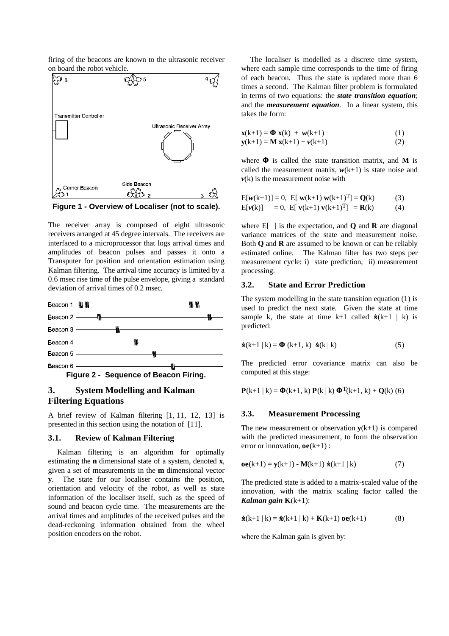firing of the beacons are known to the ultrasonic receiver on board the robot vehicle.



**Figure 1 - Overview of Localiser (not to scale).**

The receiver array is composed of eight ultrasonic receivers arranged at 45 degree intervals. The receivers are interfaced to a microprocessor that logs arrival times and amplitudes of beacon pulses and passes it onto a Transputer for position and orientation estimation using Kalman filtering. The arrival time accuracy is limited by a 0.6 msec rise time of the pulse envelope, giving a standard deviation of arrival times of 0.2 msec.



# **3. System Modelling and Kalman Filtering Equations**

A brief review of Kalman filtering [1, 11, 12, 13] is presented in this section using the notation of [11].

#### **3.1. Review of Kalman Filtering**

Kalman filtering is an algorithm for optimally estimating the **n** dimensional state of a system, denoted **x**, given a set of measurements in the **m** dimensional vector **y**. The state for our localiser contains the position, orientation and velocity of the robot, as well as state information of the localiser itself, such as the speed of sound and beacon cycle time. The measurements are the arrival times and amplitudes of the received pulses and the dead-reckoning information obtained from the wheel position encoders on the robot.

The localiser is modelled as a discrete time system, where each sample time corresponds to the time of firing of each beacon. Thus the state is updated more than 6 times a second. The Kalman filter problem is formulated in terms of two equations: the *state transition equation*; and the *measurement equation*. In a linear system, this takes the form:

$$
\mathbf{x}(k+1) = \mathbf{\Phi} \mathbf{x}(k) + \mathbf{w}(k+1) \tag{1}
$$
  
\n
$$
\mathbf{y}(k+1) = \mathbf{M} \mathbf{x}(k+1) + \mathbf{v}(k+1) \tag{2}
$$

where Φ is called the state transition matrix, and **M** is called the measurement matrix,  $w(k+1)$  is state noise and  $v(k)$  is the measurement noise with

$$
E[w(k+1)] = 0, E[ w(k+1) w(k+1)T] = Q(k)
$$
(3)  
E[v(k)] = 0, E[ v(k+1) v(k+1)<sup>T</sup>] = R(k) (4)

where  $E[\ ]$  is the expectation, and **Q** and **R** are diagonal variance matrices of the state and measurement noise. Both **Q** and **R** are assumed to be known or can be reliably estimated online. The Kalman filter has two steps per measurement cycle: i) state prediction, ii) measurement processing.

## **3.2. State and Error Prediction**

The system modelling in the state transition equation (1) is used to predict the next state. Given the state at time sample k, the state at time k+1 called  $\hat{\mathbf{x}}(k+1 | k)$  is predicted:

$$
\mathbf{\hat{x}}(k+1 | k) = \mathbf{\Phi}(k+1, k) \mathbf{\hat{x}}(k | k)
$$
 (5)

The predicted error covariance matrix can also be computed at this stage:

**P**(k+1 | k) =  $\Phi$ (k+1, k) **P**(k | k)  $\Phi$ <sup>T</sup>(k+1, k) + Q(k) (6)

#### **3.3. Measurement Processing**

The new measurement or observation  $\mathbf{v}(k+1)$  is compared with the predicted measurement, to form the observation error or innovation, **oe**(k+1) :

$$
oe(k+1) = y(k+1) - M(k+1) \hat{x}(k+1 | k)
$$
 (7)

The predicted state is added to a matrix-scaled value of the innovation, with the matrix scaling factor called the *Kalman gain* **K**(k+1):

$$
\mathbf{\hat{x}}(k+1 | k) = \mathbf{\hat{x}}(k+1 | k) + \mathbf{K}(k+1) \mathbf{oe}(k+1) \tag{8}
$$

where the Kalman gain is given by: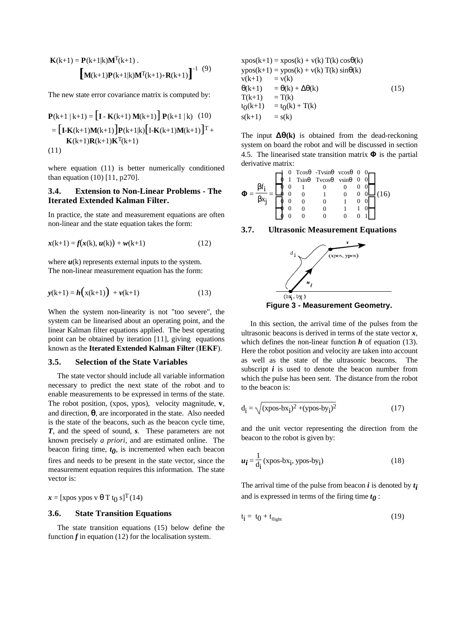$$
\mathbf{K}(k+1) = \mathbf{P}(k+1|k)\mathbf{M}^{T}(k+1) .
$$

$$
\begin{bmatrix} \mathbf{M}(k+1)\mathbf{P}(k+1|k)\mathbf{M}^{T}(k+1) + \mathbf{R}(k+1) \end{bmatrix}^{-1} (9)
$$

The new state error covariance matrix is computed by:

$$
\mathbf{P}(k+1 | k+1) = \left[\mathbf{I} - \mathbf{K}(k+1) \mathbf{M}(k+1)\right] \mathbf{P}(k+1 | k) \quad (10)
$$
  
= 
$$
\left[\mathbf{I} - \mathbf{K}(k+1) \mathbf{M}(k+1)\right] \mathbf{P}(k+1|k) \left[\mathbf{I} - \mathbf{K}(k+1) \mathbf{M}(k+1)\right] \mathbf{T} + \mathbf{K}(k+1) \mathbf{R}(k+1) \mathbf{K}^{\mathrm{T}}(k+1)
$$
  
(11)

where equation (11) is better numerically conditioned than equation (10) [11, p270].

## **3.4. Extension to Non-Linear Problems - The Iterated Extended Kalman Filter.**

In practice, the state and measurement equations are often non-linear and the state equation takes the form:

$$
x(k+1) = f(x(k), u(k)) + w(k+1)
$$
 (12)

where  $u(k)$  represents external inputs to the system. The non-linear measurement equation has the form:

$$
y(k+1) = h(x(k+1)) + v(k+1)
$$
 (13)

When the system non-linearity is not "too severe", the system can be linearised about an operating point, and the linear Kalman filter equations applied. The best operating point can be obtained by iteration [11], giving equations known as the **Iterated Extended Kalman Filter** (**IEKF**).

#### **3.5. Selection of the State Variables**

The state vector should include all variable information necessary to predict the next state of the robot and to enable measurements to be expressed in terms of the state. The robot position, (xpos, ypos), velocity magnitude, **v**, and direction,  $\theta$ , are incorporated in the state. Also needed is the state of the beacons, such as the beacon cycle time, *T*, and the speed of sound, *s*. These parameters are not known precisely *a priori*, and are estimated online. The beacon firing time,  $t_0$ , is incremented when each beacon fires and needs to be present in the state vector, since the measurement equation requires this information. The state vector is:

# $\boldsymbol{x} = [\text{xpos ypos v } \theta \top \text{t}_0 \text{ s}]^T (14)$

#### **3.6. State Transition Equations**

The state transition equations (15) below define the function  $f$  in equation (12) for the localisation system.

$$
xpos(k+1) = xpos(k) + v(k) T(k) cos\theta(k)
$$
  
\n
$$
ypos(k+1) = ypos(k) + v(k) T(k) sin\theta(k)
$$
  
\n
$$
v(k+1) = v(k)
$$
  
\n
$$
\theta(k+1) = \theta(k) + \Delta\theta(k)
$$
  
\n
$$
T(k+1) = T(k)
$$
  
\n
$$
t_0(k+1) = t_0(k) + T(k)
$$
  
\n
$$
s(k+1) = s(k)
$$
\n(15)

The input  $\Delta\theta(\mathbf{k})$  is obtained from the dead-reckoning system on board the robot and will be discussed in section 4.5. The linearised state transition matrix  $\Phi$  is the partial derivative matrix:

$$
\Phi = \frac{\beta f_i}{\beta x_j} = \begin{bmatrix} 1 & 0 & T\cos\theta & -T\nu\sin\theta & \nu\cos\theta & 0 & 0 \\ 0 & 1 & T\sin\theta & T\nu\cos\theta & \nu\sin\theta & 0 & 0 \\ 0 & 0 & 1 & 0 & 0 & 0 & 0 \\ 0 & 0 & 0 & 1 & 0 & 0 & 0 \\ 0 & 0 & 0 & 0 & 1 & 1 & 0 \\ 0 & 0 & 0 & 0 & 0 & 0 & 1 \end{bmatrix} (16)
$$

#### **3.7. Ultrasonic Measurement Equations**



**Figure 3 - Measurement Geometry.**

In this section, the arrival time of the pulses from the ultrasonic beacons is derived in terms of the state vector *x*, which defines the non-linear function  $h$  of equation (13). Here the robot position and velocity are taken into account as well as the state of the ultrasonic beacons. The subscript  $i$  is used to denote the beacon number from which the pulse has been sent. The distance from the robot to the beacon is:

$$
d_{\mathbf{i}} = \sqrt{(xpos-bx_{\mathbf{i}})^2 + (ypos-by_{\mathbf{i}})^2}
$$
 (17)

and the unit vector representing the direction from the beacon to the robot is given by:

$$
u_{i} = \frac{1}{d_{i}} (\text{xpos-bx}_{i}, \text{ypos-by}_{i})
$$
 (18)

The arrival time of the pulse from beacon *i* is denoted by *t i* and is expressed in terms of the firing time  $t_0$  :

$$
t_{i} = t_{0} + t_{\text{flight}} \tag{19}
$$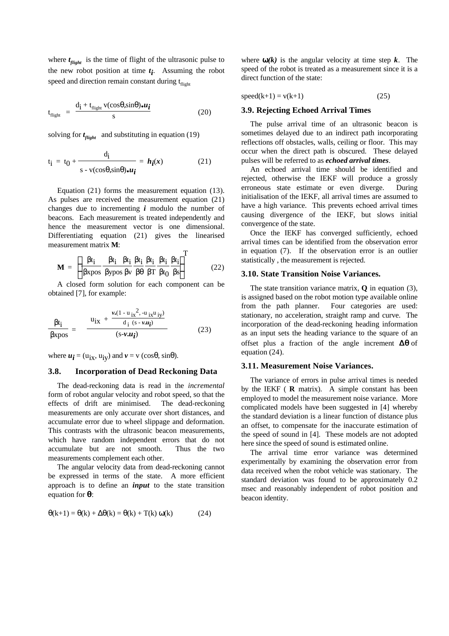where  $t_{\text{flight}}$  is the time of flight of the ultrasonic pulse to the new robot position at time  $t_i$ . Assuming the robot speed and direction remain constant during  $t_{\text{flih}}$ 

$$
t_{\text{flight}} = \frac{d_{\mathbf{i}} + t_{\text{flight}} \, v(\cos\theta, \sin\theta) \cdot u_{\mathbf{i}}}{s} \tag{20}
$$

solving for  $t_{\text{flight}}$  and substituting in equation (19)

$$
t_{i} = t_{0} + \frac{d_{i}}{s - v(\cos\theta, \sin\theta)\bullet u_{i}} = h_{i}(x)
$$
 (21)

Equation (21) forms the measurement equation (13). As pulses are received the measurement equation (21) changes due to incrementing *i* modulo the number of beacons. Each measurement is treated independently and hence the measurement vector is one dimensional. Differentiating equation (21) gives the linearised measurement matrix **M**:  $\overline{ }$ 

$$
\mathbf{M} = \left[ \frac{\beta t_i}{\beta x \text{pos}} \frac{\beta t_i}{\beta y \text{pos}} \frac{\beta t_i}{\beta v} \frac{\beta t_i}{\beta \theta} \frac{\beta t_i}{\beta T} \frac{\beta t_i}{\beta t_0} \frac{\beta t_i}{\beta s} \right]^T \tag{22}
$$

A closed form solution for each component can be obtained [7], for example:

$$
\frac{\beta t_i}{\beta x p o s} = \frac{u_{ix} + \frac{\nu \cdot (1 - u_{ix}^2, -u_{ix} u_{iy})}{d_i (s - \nu u_i)}}{(s - \nu u_i)}
$$
(23)

where  $u_i = (u_{ix}, u_{iy})$  and  $v = v$  (cos $\theta$ , sin $\theta$ ).

#### **3.8. Incorporation of Dead Reckoning Data**

The dead-reckoning data is read in the *incremental* form of robot angular velocity and robot speed, so that the effects of drift are minimised. The dead-reckoning measurements are only accurate over short distances, and accumulate error due to wheel slippage and deformation. This contrasts with the ultrasonic beacon measurements, which have random independent errors that do not accumulate but are not smooth. Thus the two measurements complement each other.

The angular velocity data from dead-reckoning cannot be expressed in terms of the state. A more efficient approach is to define an *input* to the state transition equation for *q*:

$$
\Theta(k+1) = \Theta(k) + \Delta\Theta(k) = \Theta(k) + T(k)\omega(k)
$$
 (24)

where  $w(k)$  is the angular velocity at time step  $k$ . The speed of the robot is treated as a measurement since it is a direct function of the state:

$$
speed(k+1) = v(k+1)
$$
\n(25)

#### **3.9. Rejecting Echoed Arrival Times**

The pulse arrival time of an ultrasonic beacon is sometimes delayed due to an indirect path incorporating reflections off obstacles, walls, ceiling or floor. This may occur when the direct path is obscured. These delayed pulses will be referred to as *echoed arrival times*.

An echoed arrival time should be identified and rejected, otherwise the IEKF will produce a grossly erroneous state estimate or even diverge. During initialisation of the IEKF, all arrival times are assumed to have a high variance. This prevents echoed arrival times causing divergence of the IEKF, but slows initial convergence of the state.

Once the IEKF has converged sufficiently, echoed arrival times can be identified from the observation error in equation (7). If the observation error is an outlier statistically , the measurement is rejected.

#### **3.10. State Transition Noise Variances.**

The state transition variance matrix, **Q** in equation (3), is assigned based on the robot motion type available online from the path planner. Four categories are used: stationary, no acceleration, straight ramp and curve. The incorporation of the dead-reckoning heading information as an input sets the heading variance to the square of an offset plus a fraction of the angle increment *Dq* of equation (24).

#### **3.11. Measurement Noise Variances.**

The variance of errors in pulse arrival times is needed by the IEKF ( **R** matrix). A simple constant has been employed to model the measurement noise variance. More complicated models have been suggested in [4] whereby the standard deviation is a linear function of distance plus an offset, to compensate for the inaccurate estimation of the speed of sound in [4]. These models are not adopted here since the speed of sound is estimated online.

The arrival time error variance was determined experimentally by examining the observation error from data received when the robot vehicle was stationary. The standard deviation was found to be approximately 0.2 msec and reasonably independent of robot position and beacon identity.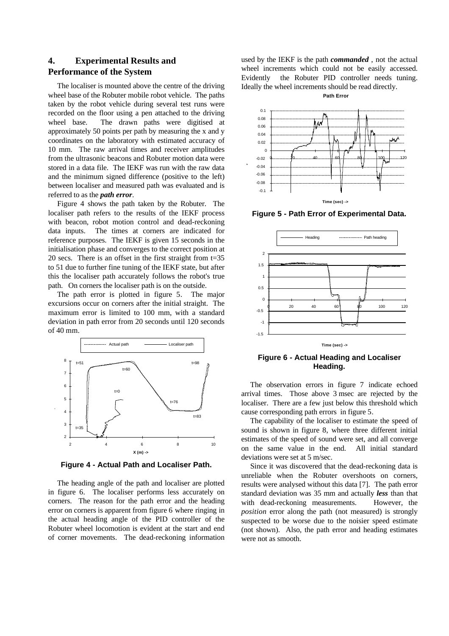# **4. Experimental Results and Performance of the System**

The localiser is mounted above the centre of the driving wheel base of the Robuter mobile robot vehicle. The paths taken by the robot vehicle during several test runs were recorded on the floor using a pen attached to the driving wheel base. The drawn paths were digitised at approximately 50 points per path by measuring the x and y coordinates on the laboratory with estimated accuracy of 10 mm. The raw arrival times and receiver amplitudes from the ultrasonic beacons and Robuter motion data were stored in a data file. The IEKF was run with the raw data and the minimum signed difference (positive to the left) between localiser and measured path was evaluated and is referred to as the *path error*.

Figure 4 shows the path taken by the Robuter. The localiser path refers to the results of the IEKF process with beacon, robot motion control and dead-reckoning data inputs. The times at corners are indicated for reference purposes. The IEKF is given 15 seconds in the initialisation phase and converges to the correct position at 20 secs. There is an offset in the first straight from t=35 to 51 due to further fine tuning of the IEKF state, but after this the localiser path accurately follows the robot's true path. On corners the localiser path is on the outside.

The path error is plotted in figure 5. The major excursions occur on corners after the initial straight. The maximum error is limited to 100 mm, with a standard deviation in path error from 20 seconds until 120 seconds of 40 mm.



**Y (m) ->**

**Figure 4 - Actual Path and Localiser Path.**

The heading angle of the path and localiser are plotted in figure 6. The localiser performs less accurately on corners. The reason for the path error and the heading error on corners is apparent from figure 6 where ringing in the actual heading angle of the PID controller of the Robuter wheel locomotion is evident at the start and end of corner movements. The dead-reckoning information used by the IEKF is the path *commanded* , not the actual wheel increments which could not be easily accessed. Evidently the Robuter PID controller needs tuning. Ideally the wheel increments should be read directly.





**Error (m) ->**

**Figure 5 - Path Error of Experimental Data.**



**Figure 6 - Actual Heading and Localiser Heading.**

The observation errors in figure 7 indicate echoed arrival times. Those above 3 msec are rejected by the localiser. There are a few just below this threshold which cause corresponding path errors in figure 5.

The capability of the localiser to estimate the speed of sound is shown in figure 8, where three different initial estimates of the speed of sound were set, and all converge on the same value in the end. All initial standard deviations were set at 5 m/sec.

Since it was discovered that the dead-reckoning data is unreliable when the Robuter overshoots on corners, results were analysed without this data [7]. The path error standard deviation was 35 mm and actually *less* than that with dead-reckoning measurements. However, the *position* error along the path (not measured) is strongly suspected to be worse due to the noisier speed estimate (not shown). Also, the path error and heading estimates were not as smooth.